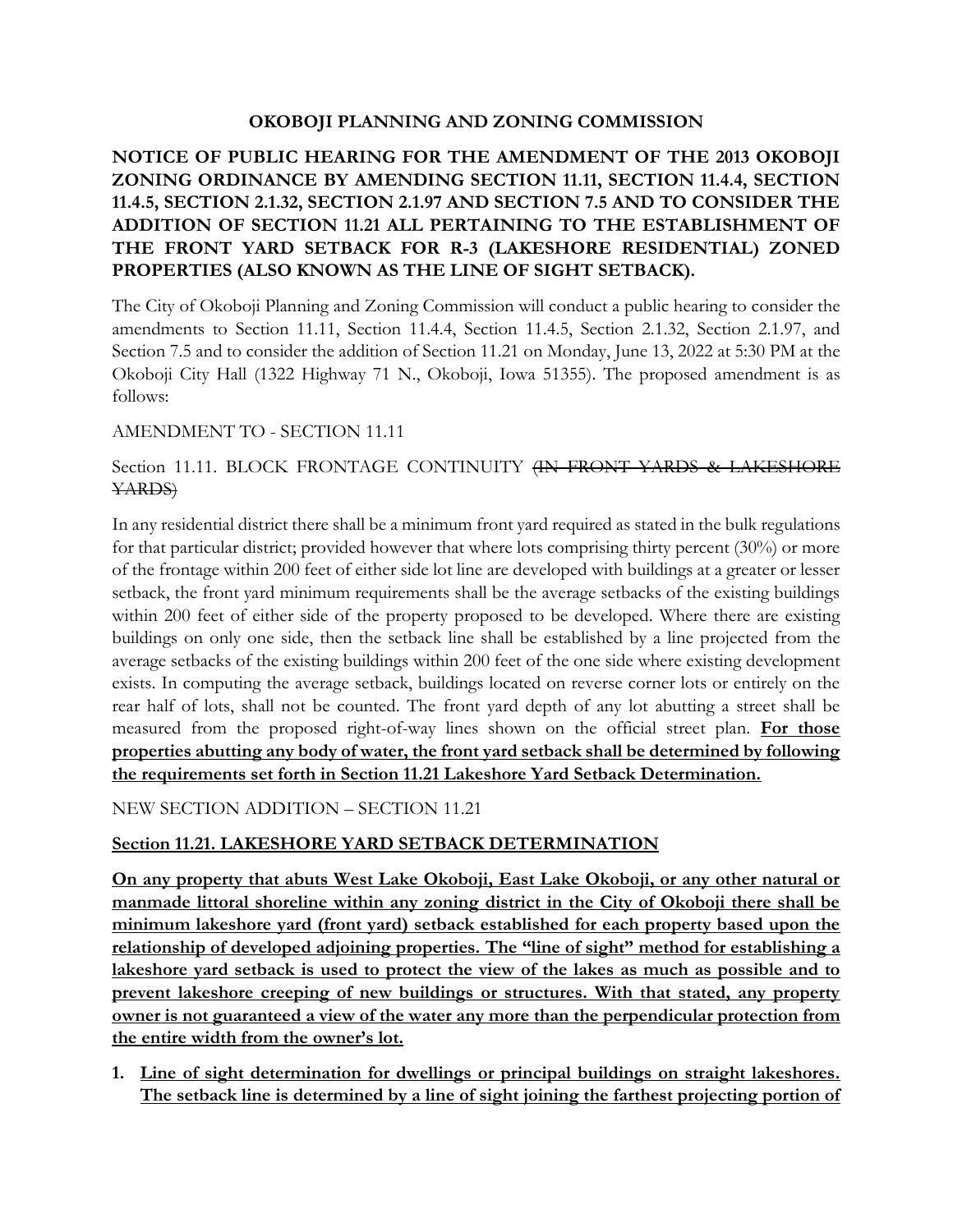## **OKOBOJI PLANNING AND ZONING COMMISSION**

## **NOTICE OF PUBLIC HEARING FOR THE AMENDMENT OF THE 2013 OKOBOJI ZONING ORDINANCE BY AMENDING SECTION 11.11, SECTION 11.4.4, SECTION 11.4.5, SECTION 2.1.32, SECTION 2.1.97 AND SECTION 7.5 AND TO CONSIDER THE ADDITION OF SECTION 11.21 ALL PERTAINING TO THE ESTABLISHMENT OF THE FRONT YARD SETBACK FOR R-3 (LAKESHORE RESIDENTIAL) ZONED PROPERTIES (ALSO KNOWN AS THE LINE OF SIGHT SETBACK).**

The City of Okoboji Planning and Zoning Commission will conduct a public hearing to consider the amendments to Section 11.11, Section 11.4.4, Section 11.4.5, Section 2.1.32, Section 2.1.97, and Section 7.5 and to consider the addition of Section 11.21 on Monday, June 13, 2022 at 5:30 PM at the Okoboji City Hall (1322 Highway 71 N., Okoboji, Iowa 51355). The proposed amendment is as follows:

## AMENDMENT TO - SECTION 11.11

## Section 11.11. BLOCK FRONTAGE CONTINUITY (IN FRONT YARDS & LAKESHORE YARDS)

In any residential district there shall be a minimum front yard required as stated in the bulk regulations for that particular district; provided however that where lots comprising thirty percent (30%) or more of the frontage within 200 feet of either side lot line are developed with buildings at a greater or lesser setback, the front yard minimum requirements shall be the average setbacks of the existing buildings within 200 feet of either side of the property proposed to be developed. Where there are existing buildings on only one side, then the setback line shall be established by a line projected from the average setbacks of the existing buildings within 200 feet of the one side where existing development exists. In computing the average setback, buildings located on reverse corner lots or entirely on the rear half of lots, shall not be counted. The front yard depth of any lot abutting a street shall be measured from the proposed right-of-way lines shown on the official street plan. **For those properties abutting any body of water, the front yard setback shall be determined by following the requirements set forth in Section 11.21 Lakeshore Yard Setback Determination.**

NEW SECTION ADDITION – SECTION 11.21

# **Section 11.21. LAKESHORE YARD SETBACK DETERMINATION**

**On any property that abuts West Lake Okoboji, East Lake Okoboji, or any other natural or manmade littoral shoreline within any zoning district in the City of Okoboji there shall be minimum lakeshore yard (front yard) setback established for each property based upon the relationship of developed adjoining properties. The "line of sight" method for establishing a lakeshore yard setback is used to protect the view of the lakes as much as possible and to prevent lakeshore creeping of new buildings or structures. With that stated, any property owner is not guaranteed a view of the water any more than the perpendicular protection from the entire width from the owner's lot.**

**1. Line of sight determination for dwellings or principal buildings on straight lakeshores. The setback line is determined by a line of sight joining the farthest projecting portion of**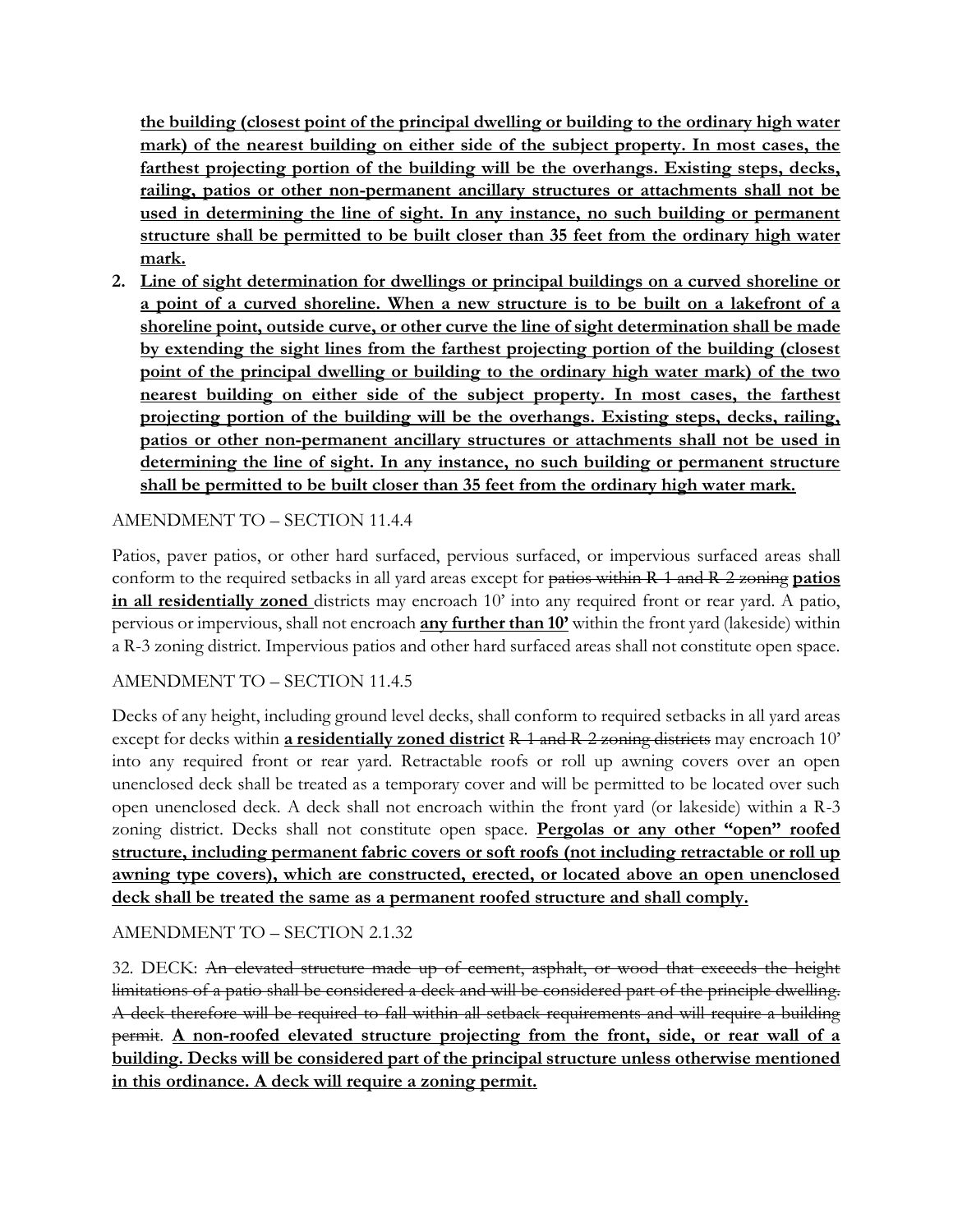**the building (closest point of the principal dwelling or building to the ordinary high water mark) of the nearest building on either side of the subject property. In most cases, the farthest projecting portion of the building will be the overhangs. Existing steps, decks, railing, patios or other non-permanent ancillary structures or attachments shall not be used in determining the line of sight. In any instance, no such building or permanent structure shall be permitted to be built closer than 35 feet from the ordinary high water mark.**

**2. Line of sight determination for dwellings or principal buildings on a curved shoreline or a point of a curved shoreline. When a new structure is to be built on a lakefront of a shoreline point, outside curve, or other curve the line of sight determination shall be made by extending the sight lines from the farthest projecting portion of the building (closest point of the principal dwelling or building to the ordinary high water mark) of the two nearest building on either side of the subject property. In most cases, the farthest projecting portion of the building will be the overhangs. Existing steps, decks, railing, patios or other non-permanent ancillary structures or attachments shall not be used in determining the line of sight. In any instance, no such building or permanent structure shall be permitted to be built closer than 35 feet from the ordinary high water mark.**

## AMENDMENT TO – SECTION 11.4.4

Patios, paver patios, or other hard surfaced, pervious surfaced, or impervious surfaced areas shall conform to the required setbacks in all yard areas except for patios within R-1 and R-2 zoning **patios in all residentially zoned** districts may encroach 10' into any required front or rear yard. A patio, pervious or impervious, shall not encroach **any further than 10'** within the front yard (lakeside) within a R-3 zoning district. Impervious patios and other hard surfaced areas shall not constitute open space.

#### AMENDMENT TO – SECTION 11.4.5

Decks of any height, including ground level decks, shall conform to required setbacks in all yard areas except for decks within **a residentially zoned district** R-1 and R-2 zoning districts may encroach 10' into any required front or rear yard. Retractable roofs or roll up awning covers over an open unenclosed deck shall be treated as a temporary cover and will be permitted to be located over such open unenclosed deck. A deck shall not encroach within the front yard (or lakeside) within a R-3 zoning district. Decks shall not constitute open space. **Pergolas or any other "open" roofed structure, including permanent fabric covers or soft roofs (not including retractable or roll up awning type covers), which are constructed, erected, or located above an open unenclosed deck shall be treated the same as a permanent roofed structure and shall comply.**

AMENDMENT TO – SECTION 2.1.32

32. DECK: An elevated structure made up of cement, asphalt, or wood that exceeds the height limitations of a patio shall be considered a deck and will be considered part of the principle dwelling. A deck therefore will be required to fall within all setback requirements and will require a building permit. **A non-roofed elevated structure projecting from the front, side, or rear wall of a building. Decks will be considered part of the principal structure unless otherwise mentioned in this ordinance. A deck will require a zoning permit.**